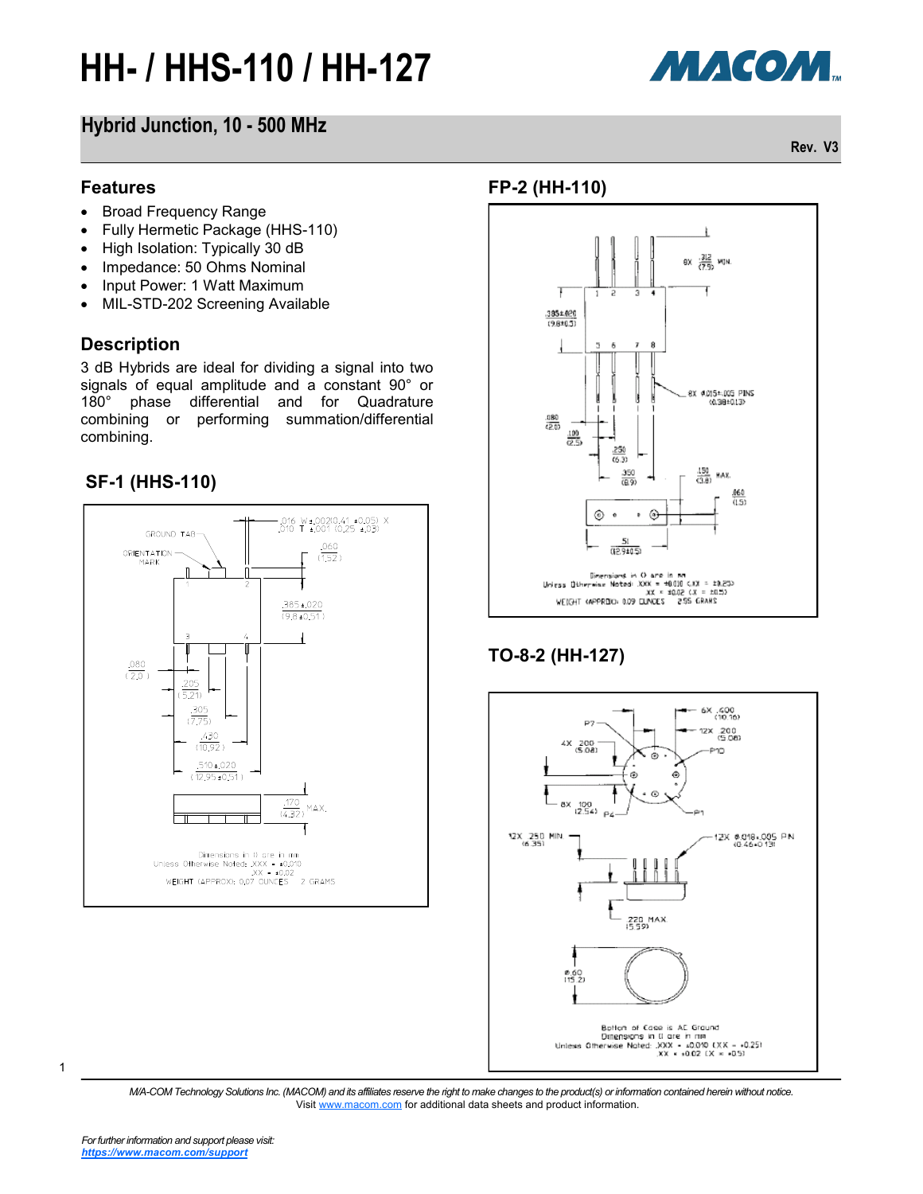

### **Hybrid Junction, 10 - 500 MHz**

#### **Features**

- Broad Frequency Range
- Fully Hermetic Package (HHS-110)
- High Isolation: Typically 30 dB
- Impedance: 50 Ohms Nominal
- Input Power: 1 Watt Maximum
- MIL-STD-202 Screening Available

#### **Description**

3 dB Hybrids are ideal for dividing a signal into two signals of equal amplitude and a constant 90° or 180° phase differential and for Quadrature combining or performing summation/differential combining.

#### **SF-1 (HHS-110)**



#### **FP-2 (HH-110)**



### **TO-8-2 (HH-127)**



*M/A-COM Technology Solutions Inc. (MACOM) and its affiliates reserve the right to make changes to the product(s) or information contained herein without notice.*  Visit [www.macom.com](http://www.macom.com/) for additional data sheets and product information.

1

**Rev. V3**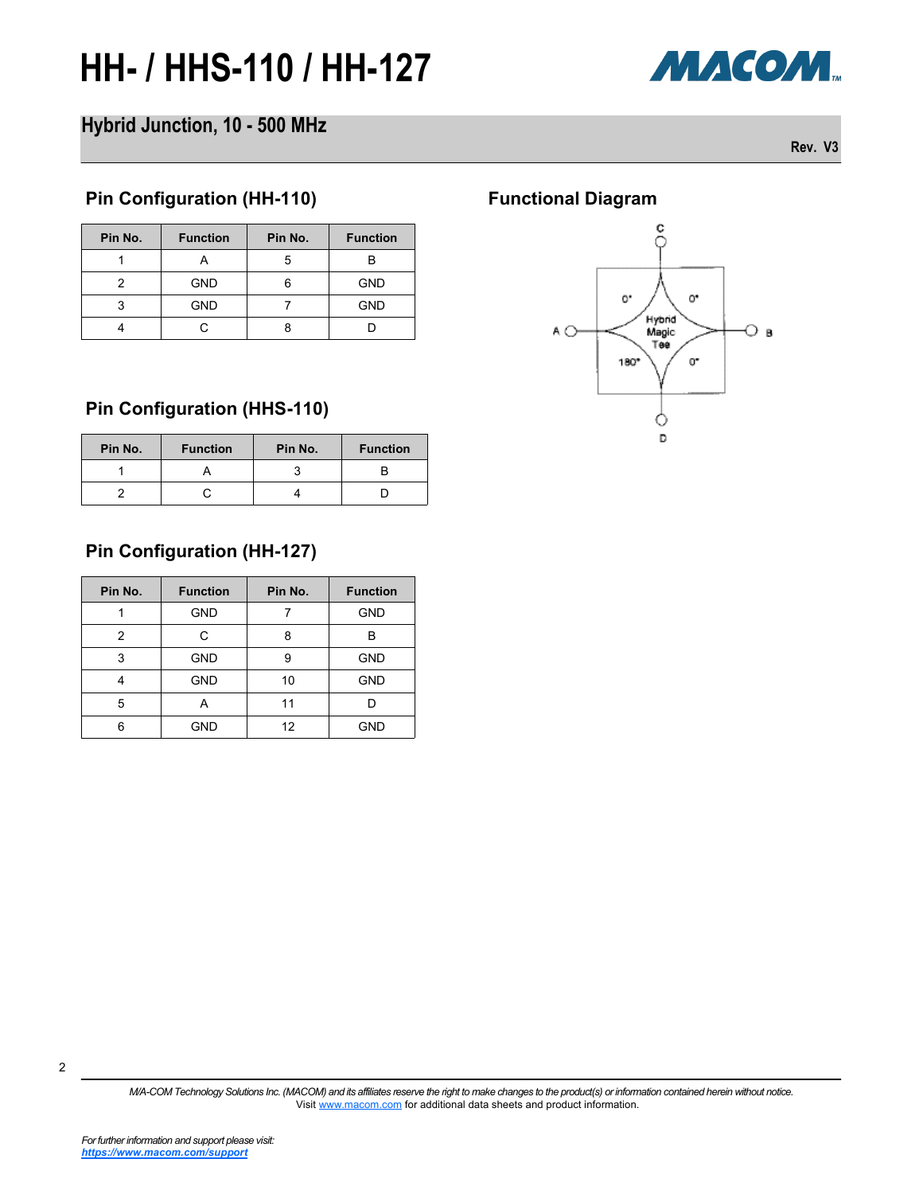

### **Hybrid Junction, 10 - 500 MHz**

**Rev. V3**

#### **Pin Configuration (HH-110) Functional Diagram**

| Pin No. | <b>Function</b> | Pin No. | <b>Function</b> |  |
|---------|-----------------|---------|-----------------|--|
|         |                 |         |                 |  |
|         | <b>GND</b>      |         | <b>GND</b>      |  |
| З       | <b>GND</b>      |         | <b>GND</b>      |  |
|         |                 |         |                 |  |

#### **Pin Configuration (HHS-110)**

| Pin No. | <b>Function</b> | Pin No. | <b>Function</b> |
|---------|-----------------|---------|-----------------|
|         |                 |         |                 |
|         |                 |         |                 |

## **Pin Configuration (HH-127)**

| Pin No. | <b>Function</b> | Pin No.          | <b>Function</b> |  |
|---------|-----------------|------------------|-----------------|--|
|         | <b>GND</b>      |                  | <b>GND</b>      |  |
| 2       |                 | 8                | В               |  |
| 3       | <b>GND</b>      | 9                | <b>GND</b>      |  |
|         | <b>GND</b>      | 10               | <b>GND</b>      |  |
| 5       | А               | 11               |                 |  |
| հ       | GND             | <b>GND</b><br>12 |                 |  |



*M/A-COM Technology Solutions Inc. (MACOM) and its affiliates reserve the right to make changes to the product(s) or information contained herein without notice.*  Visit [www.macom.com](http://www.macom.com/) for additional data sheets and product information.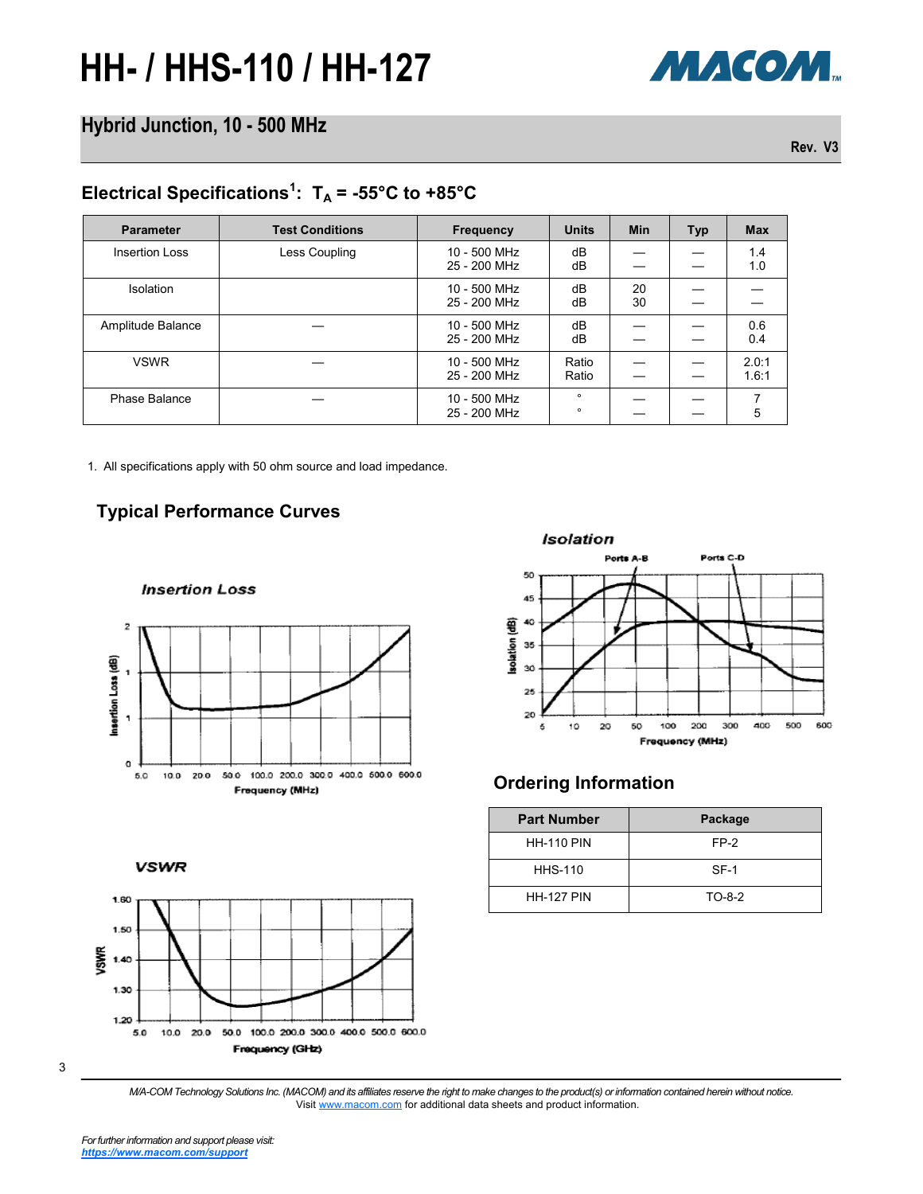

### **Hybrid Junction, 10 - 500 MHz**

**Rev. V3**

### Electrical Specifications<sup>1</sup>:  $T_A = -55^{\circ}C$  to  $+85^{\circ}C$

| <b>Parameter</b>      | <b>Test Conditions</b> | <b>Frequency</b>             | <b>Units</b>       | <b>Min</b> | <b>Typ</b> | <b>Max</b>     |
|-----------------------|------------------------|------------------------------|--------------------|------------|------------|----------------|
| <b>Insertion Loss</b> | Less Coupling          | 10 - 500 MHz<br>25 - 200 MHz | dB<br>dB           |            |            | 1.4<br>1.0     |
| <b>Isolation</b>      |                        | 10 - 500 MHz<br>25 - 200 MHz | dB<br>dB           | 20<br>30   |            |                |
| Amplitude Balance     |                        | 10 - 500 MHz<br>25 - 200 MHz | dB<br>dB           |            |            | 0.6<br>0.4     |
| <b>VSWR</b>           |                        | 10 - 500 MHz<br>25 - 200 MHz | Ratio<br>Ratio     |            |            | 2.0:1<br>1.6:1 |
| Phase Balance         |                        | 10 - 500 MHz<br>25 - 200 MHz | $\circ$<br>$\circ$ |            |            | 5              |

1. All specifications apply with 50 ohm source and load impedance.

#### **Typical Performance Curves**

**Insertion Loss** 



**VSWR** 





#### **Ordering Information**

| <b>Part Number</b> | Package |
|--------------------|---------|
| <b>HH-110 PIN</b>  | FP-2    |
| <b>HHS-110</b>     | $SF-1$  |
| <b>HH-127 PIN</b>  | TO-8-2  |

*M/A-COM Technology Solutions Inc. (MACOM) and its affiliates reserve the right to make changes to the product(s) or information contained herein without notice.*  Visit [www.macom.com](http://www.macom.com/) for additional data sheets and product information.

3